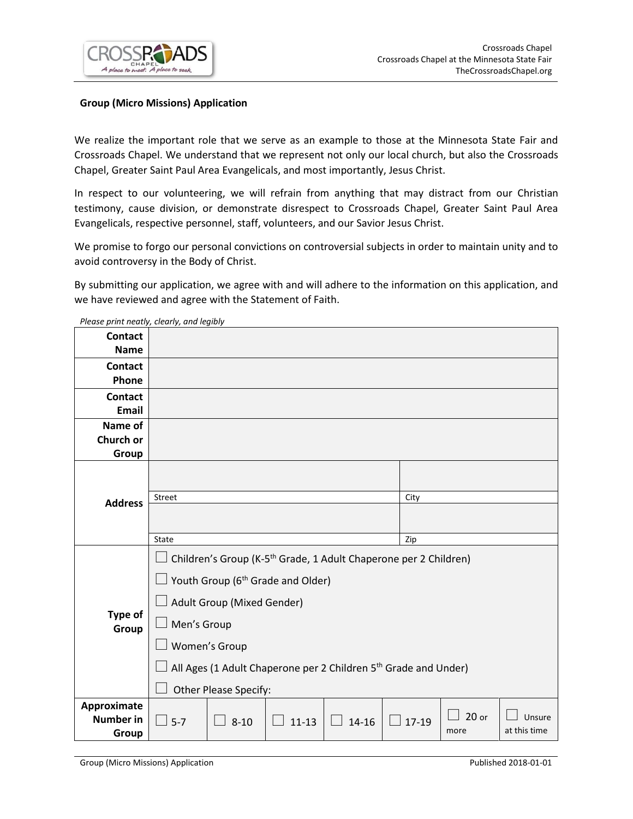

# **Group (Micro Missions) Application**

We realize the important role that we serve as an example to those at the Minnesota State Fair and Crossroads Chapel. We understand that we represent not only our local church, but also the Crossroads Chapel, Greater Saint Paul Area Evangelicals, and most importantly, Jesus Christ.

In respect to our volunteering, we will refrain from anything that may distract from our Christian testimony, cause division, or demonstrate disrespect to Crossroads Chapel, Greater Saint Paul Area Evangelicals, respective personnel, staff, volunteers, and our Savior Jesus Christ.

We promise to forgo our personal convictions on controversial subjects in order to maintain unity and to avoid controversy in the Body of Christ.

By submitting our application, we agree with and will adhere to the information on this application, and we have reviewed and agree with the Statement of Faith.

| <b>Contact</b><br><b>Name</b>  |                                                                                                                               |          |           |           |         |         |              |  |
|--------------------------------|-------------------------------------------------------------------------------------------------------------------------------|----------|-----------|-----------|---------|---------|--------------|--|
| <b>Contact</b><br>Phone        |                                                                                                                               |          |           |           |         |         |              |  |
| <b>Contact</b><br><b>Email</b> |                                                                                                                               |          |           |           |         |         |              |  |
| Name of<br>Church or<br>Group  |                                                                                                                               |          |           |           |         |         |              |  |
| <b>Address</b>                 |                                                                                                                               |          |           |           |         |         |              |  |
|                                | Street                                                                                                                        |          |           |           | City    |         |              |  |
|                                | State                                                                                                                         |          |           |           | Zip     |         |              |  |
| Type of<br>Group               | Children's Group (K-5 <sup>th</sup> Grade, 1 Adult Chaperone per 2 Children)<br>Youth Group (6 <sup>th</sup> Grade and Older) |          |           |           |         |         |              |  |
|                                | Adult Group (Mixed Gender)                                                                                                    |          |           |           |         |         |              |  |
|                                | Men's Group                                                                                                                   |          |           |           |         |         |              |  |
|                                | Women's Group                                                                                                                 |          |           |           |         |         |              |  |
|                                | All Ages (1 Adult Chaperone per 2 Children 5 <sup>th</sup> Grade and Under)                                                   |          |           |           |         |         |              |  |
|                                | Other Please Specify:                                                                                                         |          |           |           |         |         |              |  |
| Approximate                    |                                                                                                                               |          |           |           |         | $20$ or | Unsure       |  |
| <b>Number in</b><br>Group      | $5 - 7$                                                                                                                       | $8 - 10$ | $11 - 13$ | $14 - 16$ | $17-19$ | more    | at this time |  |

*Please print neatly, clearly, and legibly*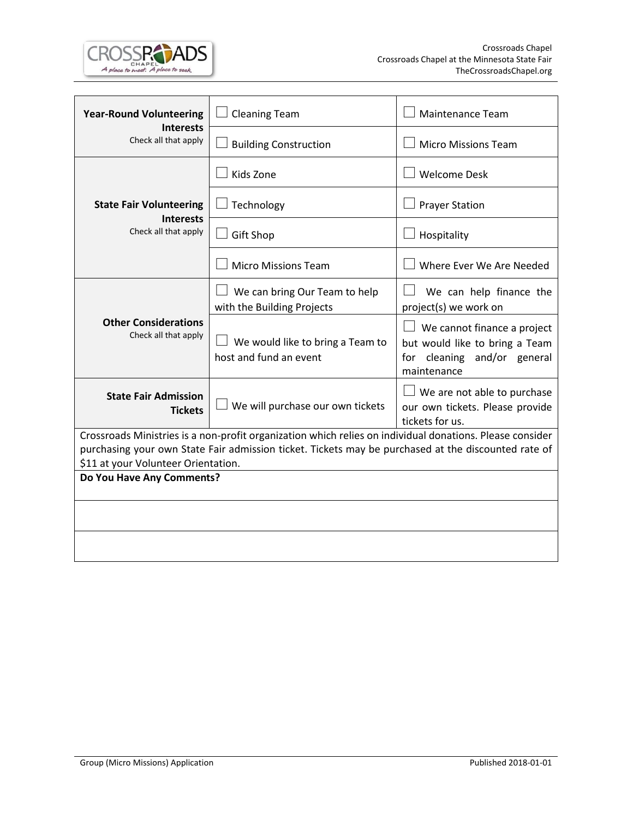

| <b>Year-Round Volunteering</b>                                                                                                                                                                                                                         | <b>Cleaning Team</b>                                        | <b>Maintenance Team</b>                                                                                            |  |  |  |  |  |
|--------------------------------------------------------------------------------------------------------------------------------------------------------------------------------------------------------------------------------------------------------|-------------------------------------------------------------|--------------------------------------------------------------------------------------------------------------------|--|--|--|--|--|
| <b>Interests</b><br>Check all that apply                                                                                                                                                                                                               | <b>Building Construction</b>                                | <b>Micro Missions Team</b>                                                                                         |  |  |  |  |  |
|                                                                                                                                                                                                                                                        | Kids Zone                                                   | <b>Welcome Desk</b>                                                                                                |  |  |  |  |  |
| <b>State Fair Volunteering</b>                                                                                                                                                                                                                         | Technology                                                  | <b>Prayer Station</b>                                                                                              |  |  |  |  |  |
| <b>Interests</b><br>Check all that apply                                                                                                                                                                                                               | Gift Shop                                                   | Hospitality                                                                                                        |  |  |  |  |  |
|                                                                                                                                                                                                                                                        | <b>Micro Missions Team</b>                                  | Where Ever We Are Needed                                                                                           |  |  |  |  |  |
|                                                                                                                                                                                                                                                        | We can bring Our Team to help<br>with the Building Projects | We can help finance the<br>project(s) we work on                                                                   |  |  |  |  |  |
| <b>Other Considerations</b><br>Check all that apply                                                                                                                                                                                                    | We would like to bring a Team to<br>host and fund an event  | $\Box$ We cannot finance a project<br>but would like to bring a Team<br>for cleaning and/or general<br>maintenance |  |  |  |  |  |
| <b>State Fair Admission</b><br><b>Tickets</b>                                                                                                                                                                                                          | We will purchase our own tickets                            | $\Box$ We are not able to purchase<br>our own tickets. Please provide<br>tickets for us.                           |  |  |  |  |  |
| Crossroads Ministries is a non-profit organization which relies on individual donations. Please consider<br>purchasing your own State Fair admission ticket. Tickets may be purchased at the discounted rate of<br>\$11 at your Volunteer Orientation. |                                                             |                                                                                                                    |  |  |  |  |  |
| Do You Have Any Comments?                                                                                                                                                                                                                              |                                                             |                                                                                                                    |  |  |  |  |  |
|                                                                                                                                                                                                                                                        |                                                             |                                                                                                                    |  |  |  |  |  |
|                                                                                                                                                                                                                                                        |                                                             |                                                                                                                    |  |  |  |  |  |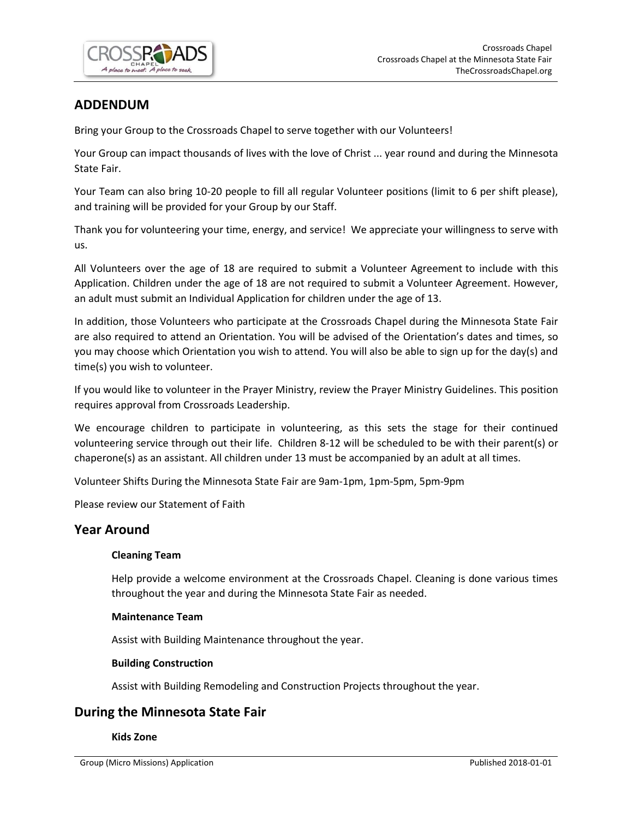

# **ADDENDUM**

Bring your Group to the Crossroads Chapel to serve together with our Volunteers!

Your Group can impact thousands of lives with the love of Christ ... year round and during the Minnesota State Fair.

Your Team can also bring 10-20 people to fill all regular Volunteer positions (limit to 6 per shift please), and training will be provided for your Group by our Staff.

Thank you for volunteering your time, energy, and service! We appreciate your willingness to serve with us.

All Volunteers over the age of 18 are required to submit a Volunteer Agreement to include with this Application. Children under the age of 18 are not required to submit a Volunteer Agreement. However, an adult must submit an Individual Application for children under the age of 13.

In addition, those Volunteers who participate at the Crossroads Chapel during the Minnesota State Fair are also required to attend an Orientation. You will be advised of the Orientation's dates and times, so you may choose which Orientation you wish to attend. You will also be able to sign up for the day(s) and time(s) you wish to volunteer.

If you would like to volunteer in the Prayer Ministry, review the Prayer Ministry Guidelines. This position requires approval from Crossroads Leadership.

We encourage children to participate in volunteering, as this sets the stage for their continued volunteering service through out their life. Children 8-12 will be scheduled to be with their parent(s) or chaperone(s) as an assistant. All children under 13 must be accompanied by an adult at all times.

Volunteer Shifts During the Minnesota State Fair are 9am-1pm, 1pm-5pm, 5pm-9pm

Please review our Statement of Faith

# **Year Around**

# **Cleaning Team**

Help provide a welcome environment at the Crossroads Chapel. Cleaning is done various times throughout the year and during the Minnesota State Fair as needed.

#### **Maintenance Team**

Assist with Building Maintenance throughout the year.

# **Building Construction**

Assist with Building Remodeling and Construction Projects throughout the year.

# **During the Minnesota State Fair**

#### **Kids Zone**